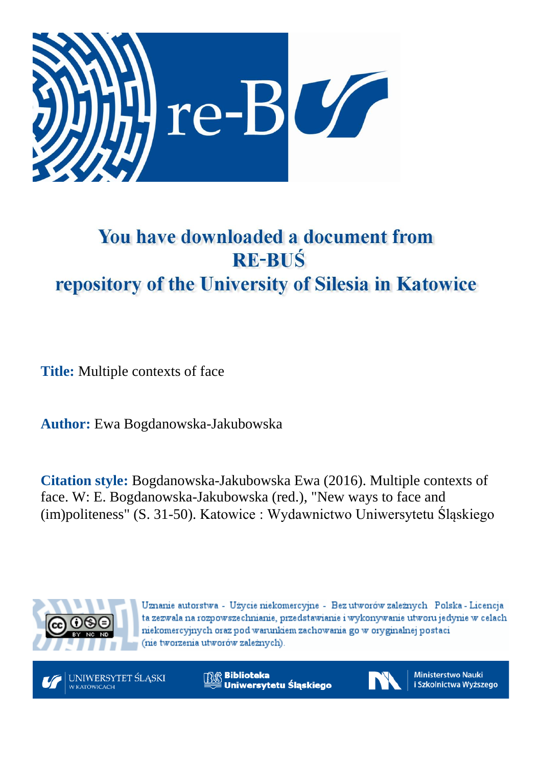

# You have downloaded a document from **RE-BUŚ** repository of the University of Silesia in Katowice

**Title:** Multiple contexts of face

**Author:** Ewa Bogdanowska-Jakubowska

**Citation style:** Bogdanowska-Jakubowska Ewa (2016). Multiple contexts of face. W: E. Bogdanowska-Jakubowska (red.), "New ways to face and (im)politeness" (S. 31-50). Katowice : Wydawnictwo Uniwersytetu Śląskiego



Uznanie autorstwa - Użycie niekomercyjne - Bez utworów zależnych Polska - Licencja ta zezwala na rozpowszechnianie, przedstawianie i wykonywanie utworu jedynie w celach niekomercyjnych oraz pod warunkiem zachowania go w oryginalnej postaci (nie tworzenia utworów zależnych).



**& Biblioteka** Uniwersytetu Śląskiego



**Ministerstwo Nauki** i Szkolnictwa Wyższego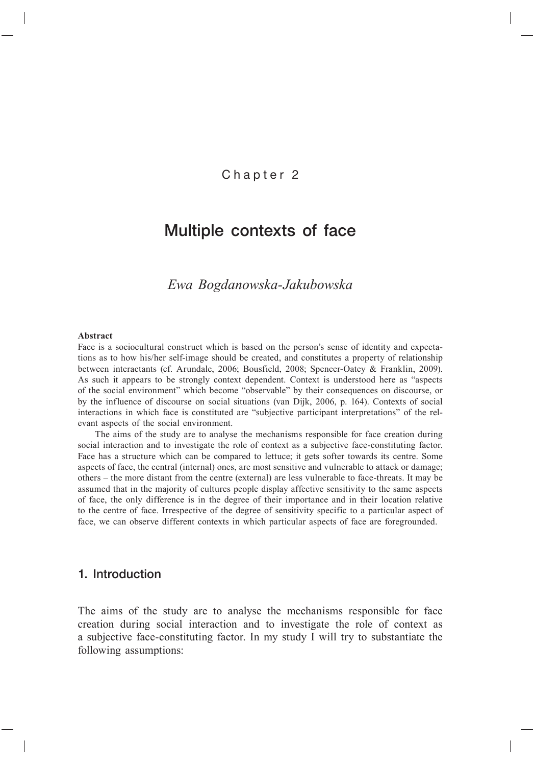## Chapter 2

## Multiple contexts of face

*Ewa Bogdanowska-Jakubowska*

#### **Abstract**

Face is a sociocultural construct which is based on the person's sense of identity and expectations as to how his/her self-image should be created, and constitutes a property of relationship between interactants (cf. Arundale, 2006; Bousfield, 2008; Spencer-Oatey & Franklin, 2009). As such it appears to be strongly context dependent. Context is understood here as "aspects of the social environment" which become "observable" by their consequences on discourse, or by the influence of discourse on social situations (van Dijk, 2006, p. 164). Contexts of social interactions in which face is constituted are "subjective participant interpretations" of the relevant aspects of the social environment.

The aims of the study are to analyse the mechanisms responsible for face creation during social interaction and to investigate the role of context as a subjective face-constituting factor. Face has a structure which can be compared to lettuce; it gets softer towards its centre. Some aspects of face, the central (internal) ones, are most sensitive and vulnerable to attack or damage; others – the more distant from the centre (external) are less vulnerable to face-threats. It may be assumed that in the majority of cultures people display affective sensitivity to the same aspects of face, the only difference is in the degree of their importance and in their location relative to the centre of face. Irrespective of the degree of sensitivity specific to a particular aspect of face, we can observe different contexts in which particular aspects of face are foregrounded.

## 1. Introduction

The aims of the study are to analyse the mechanisms responsible for face creation during social interaction and to investigate the role of context as a subjective face-constituting factor. In my study I will try to substantiate the following assumptions: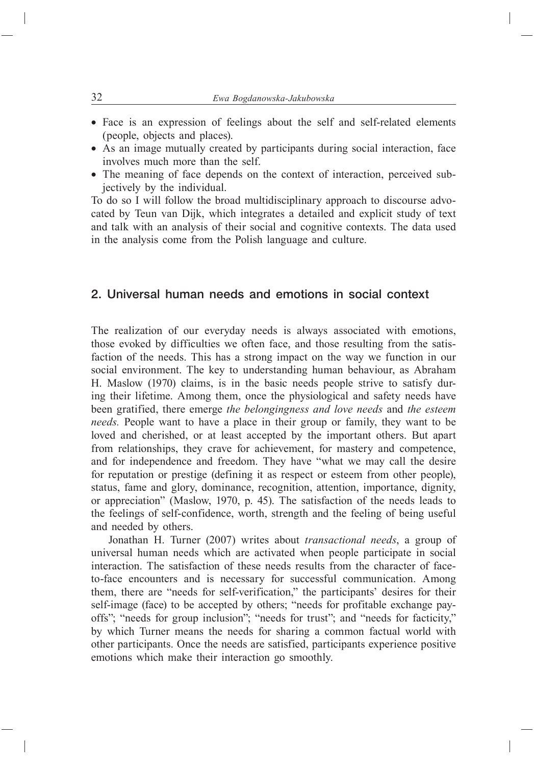- Face is an expression of feelings about the self and self-related elements (people, objects and places).
- As an image mutually created by participants during social interaction, face involves much more than the self.
- The meaning of face depends on the context of interaction, perceived subjectively by the individual.

To do so I will follow the broad multidisciplinary approach to discourse advocated by Teun van Dijk, which integrates a detailed and explicit study of text and talk with an analysis of their social and cognitive contexts. The data used in the analysis come from the Polish language and culture.

## 2. Universal human needs and emotions in social context

The realization of our everyday needs is always associated with emotions, those evoked by difficulties we often face, and those resulting from the satisfaction of the needs. This has a strong impact on the way we function in our social environment. The key to understanding human behaviour, as Abraham H. Maslow (1970) claims, is in the basic needs people strive to satisfy during their lifetime. Among them, once the physiological and safety needs have been gratified, there emerge *the belongingness and love needs* and *the esteem needs.* People want to have a place in their group or family, they want to be loved and cherished, or at least accepted by the important others. But apart from relationships, they crave for achievement, for mastery and competence, and for independence and freedom. They have "what we may call the desire for reputation or prestige (defining it as respect or esteem from other people), status, fame and glory, dominance, recognition, attention, importance, dignity, or appreciation" (Maslow, 1970, p. 45). The satisfaction of the needs leads to the feelings of self-confidence, worth, strength and the feeling of being useful and needed by others.

Jonathan H. Turner (2007) writes about *transactional needs*, a group of universal human needs which are activated when people participate in social interaction. The satisfaction of these needs results from the character of faceto-face encounters and is necessary for successful communication. Among them, there are "needs for self-verification," the participants' desires for their self-image (face) to be accepted by others; "needs for profitable exchange payoffs"; "needs for group inclusion"; "needs for trust"; and "needs for facticity," by which Turner means the needs for sharing a common factual world with other participants. Once the needs are satisfied, participants experience positive emotions which make their interaction go smoothly.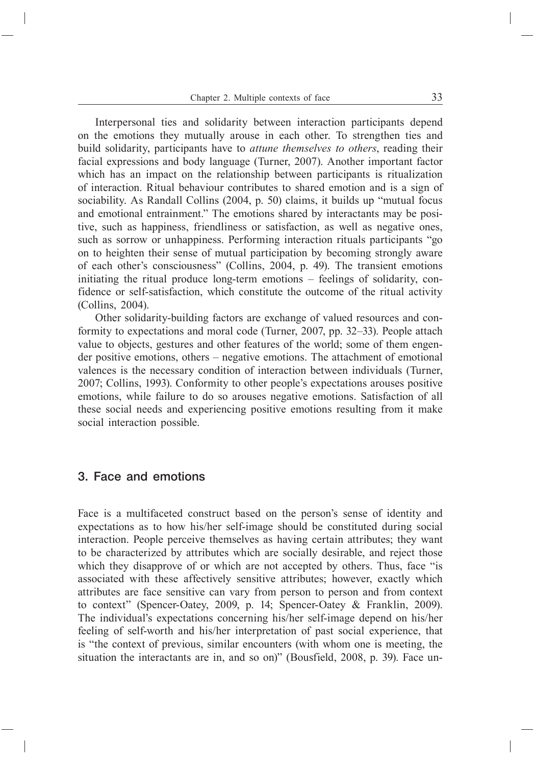Interpersonal ties and solidarity between interaction participants depend on the emotions they mutually arouse in each other. To strengthen ties and build solidarity, participants have to *attune themselves to others*, reading their facial expressions and body language (Turner, 2007). Another important factor which has an impact on the relationship between participants is ritualization of interaction. Ritual behaviour contributes to shared emotion and is a sign of sociability. As Randall Collins (2004, p. 50) claims, it builds up "mutual focus and emotional entrainment." The emotions shared by interactants may be positive, such as happiness, friendliness or satisfaction, as well as negative ones, such as sorrow or unhappiness. Performing interaction rituals participants "go on to heighten their sense of mutual participation by becoming strongly aware of each other's consciousness" (Collins, 2004, p. 49). The transient emotions initiating the ritual produce long-term emotions – feelings of solidarity, confidence or self-satisfaction, which constitute the outcome of the ritual activity (Collins, 2004).

Other solidarity-building factors are exchange of valued resources and conformity to expectations and moral code (Turner, 2007, pp. 32–33). People attach value to objects, gestures and other features of the world; some of them engender positive emotions, others – negative emotions. The attachment of emotional valences is the necessary condition of interaction between individuals (Turner, 2007; Collins, 1993). Conformity to other people's expectations arouses positive emotions, while failure to do so arouses negative emotions. Satisfaction of all these social needs and experiencing positive emotions resulting from it make social interaction possible.

## 3. Face and emotions

Face is a multifaceted construct based on the person's sense of identity and expectations as to how his/her self-image should be constituted during social interaction. People perceive themselves as having certain attributes; they want to be characterized by attributes which are socially desirable, and reject those which they disapprove of or which are not accepted by others. Thus, face "is associated with these affectively sensitive attributes; however, exactly which attributes are face sensitive can vary from person to person and from context to context" (Spencer-Oatey, 2009, p. 14; Spencer-Oatey & Franklin, 2009). The individual's expectations concerning his/her self-image depend on his/her feeling of self-worth and his/her interpretation of past social experience, that is "the context of previous, similar encounters (with whom one is meeting, the situation the interactants are in, and so on)" (Bousfield, 2008, p. 39). Face un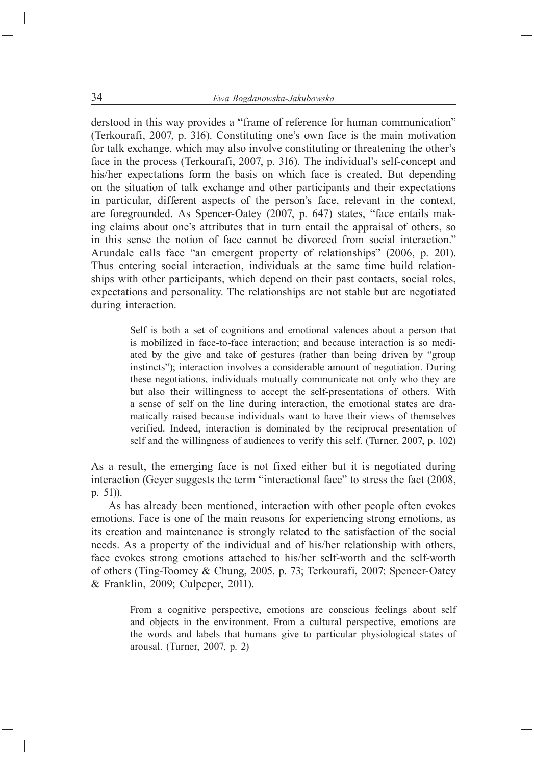derstood in this way provides a "frame of reference for human communication" (Terkourafi, 2007, p. 316). Constituting one's own face is the main motivation for talk exchange, which may also involve constituting or threatening the other's face in the process (Terkourafi, 2007, p. 316). The individual's self-concept and his/her expectations form the basis on which face is created. But depending on the situation of talk exchange and other participants and their expectations in particular, different aspects of the person's face, relevant in the context, are foregrounded. As Spencer-Oatey (2007, p. 647) states, "face entails making claims about one's attributes that in turn entail the appraisal of others, so in this sense the notion of face cannot be divorced from social interaction." Arundale calls face "an emergent property of relationships" (2006, p. 201). Thus entering social interaction, individuals at the same time build relationships with other participants, which depend on their past contacts, social roles, expectations and personality. The relationships are not stable but are negotiated during interaction.

> Self is both a set of cognitions and emotional valences about a person that is mobilized in face-to-face interaction; and because interaction is so mediated by the give and take of gestures (rather than being driven by "group instincts"); interaction involves a considerable amount of negotiation. During these negotiations, individuals mutually communicate not only who they are but also their willingness to accept the self-presentations of others. With a sense of self on the line during interaction, the emotional states are dramatically raised because individuals want to have their views of themselves verified. Indeed, interaction is dominated by the reciprocal presentation of self and the willingness of audiences to verify this self. (Turner, 2007, p. 102)

As a result, the emerging face is not fixed either but it is negotiated during interaction (Geyer suggests the term "interactional face" to stress the fact (2008, p. 51)).

As has already been mentioned, interaction with other people often evokes emotions. Face is one of the main reasons for experiencing strong emotions, as its creation and maintenance is strongly related to the satisfaction of the social needs. As a property of the individual and of his/her relationship with others, face evokes strong emotions attached to his/her self-worth and the self-worth of others (Ting-Toomey & Chung, 2005, p. 73; Terkourafi, 2007; Spencer-Oatey & Franklin, 2009; Culpeper, 2011).

> From a cognitive perspective, emotions are conscious feelings about self and objects in the environment. From a cultural perspective, emotions are the words and labels that humans give to particular physiological states of arousal. (Turner, 2007, p. 2)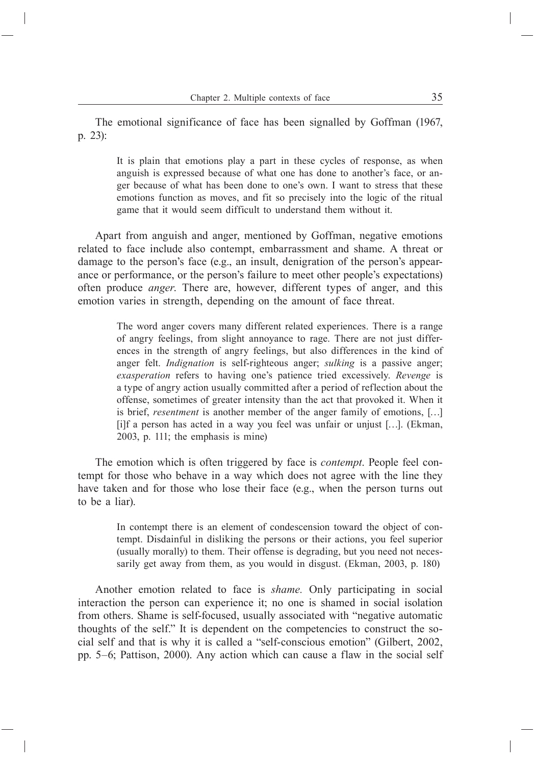The emotional significance of face has been signalled by Goffman (1967, p. 23):

> It is plain that emotions play a part in these cycles of response, as when anguish is expressed because of what one has done to another's face, or anger because of what has been done to one's own. I want to stress that these emotions function as moves, and fit so precisely into the logic of the ritual game that it would seem difficult to understand them without it.

Apart from anguish and anger, mentioned by Goffman, negative emotions related to face include also contempt, embarrassment and shame. A threat or damage to the person's face (e.g., an insult, denigration of the person's appearance or performance, or the person's failure to meet other people's expectations) often produce *anger*. There are, however, different types of anger, and this emotion varies in strength, depending on the amount of face threat.

> The word anger covers many different related experiences. There is a range of angry feelings, from slight annoyance to rage. There are not just differences in the strength of angry feelings, but also differences in the kind of anger felt.*Indignation* is self-righteous anger; *sulking* is a passive anger; *exasperation* refers to having one's patience tried excessively.*Revenge* is a type of angry action usually committed after a period of reflection about the offense, sometimes of greater intensity than the act that provoked it. When it is brief, *resentment* is another member of the anger family of emotions, […] [i]f a person has acted in a way you feel was unfair or unjust […]. (Ekman, 2003, p. 111; the emphasis is mine)

The emotion which is often triggered by face is *contempt*. People feel contempt for those who behave in a way which does not agree with the line they have taken and for those who lose their face (e.g., when the person turns out to be a liar).

> In contempt there is an element of condescension toward the object of contempt. Disdainful in disliking the persons or their actions, you feel superior (usually morally) to them. Their offense is degrading, but you need not necessarily get away from them, as you would in disgust. (Ekman, 2003, p. 180)

Another emotion related to face is *shame.* Only participating in social interaction the person can experience it; no one is shamed in social isolation from others. Shame is self-focused, usually associated with "negative automatic thoughts of the self." It is dependent on the competencies to construct the social self and that is why it is called a "self-conscious emotion" (Gilbert, 2002, pp. 5–6; Pattison, 2000). Any action which can cause a flaw in the social self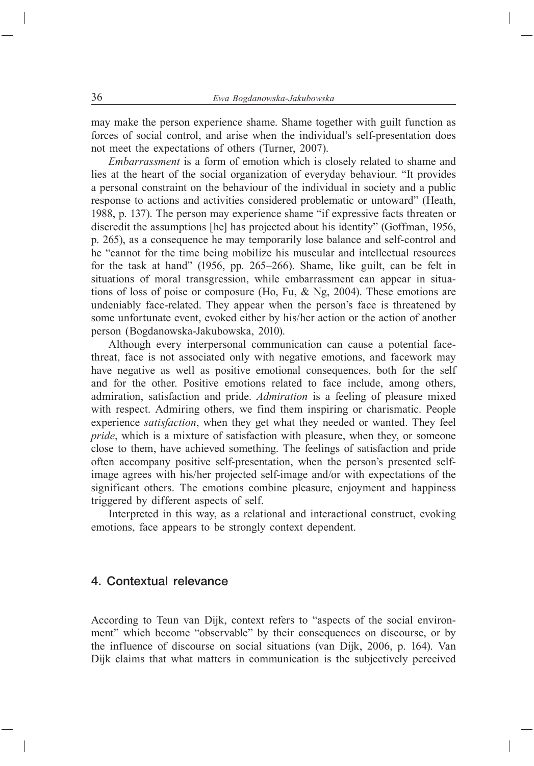may make the person experience shame. Shame together with guilt function as forces of social control, and arise when the individual's self-presentation does not meet the expectations of others (Turner, 2007).

*Embarrassment* is a form of emotion which is closely related to shame and lies at the heart of the social organization of everyday behaviour. "It provides a personal constraint on the behaviour of the individual in society and a public response to actions and activities considered problematic or untoward" (Heath, 1988, p. 137). The person may experience shame "if expressive facts threaten or discredit the assumptions [he] has projected about his identity" (Goffman, 1956, p. 265), as a consequence he may temporarily lose balance and self-control and he "cannot for the time being mobilize his muscular and intellectual resources for the task at hand" (1956, pp. 265–266). Shame, like guilt, can be felt in situations of moral transgression, while embarrassment can appear in situations of loss of poise or composure (Ho, Fu, & Ng, 2004). These emotions are undeniably face-related. They appear when the person's face is threatened by some unfortunate event, evoked either by his/her action or the action of another person (Bogdanowska-Jakubowska, 2010).

Although every interpersonal communication can cause a potential facethreat, face is not associated only with negative emotions, and facework may have negative as well as positive emotional consequences, both for the self and for the other. Positive emotions related to face include, among others, admiration, satisfaction and pride.*Admiration* is a feeling of pleasure mixed with respect. Admiring others, we find them inspiring or charismatic. People experience *satisfaction*, when they get what they needed or wanted. They feel *pride*, which is a mixture of satisfaction with pleasure, when they, or someone close to them, have achieved something. The feelings of satisfaction and pride often accompany positive self-presentation, when the person's presented selfimage agrees with his/her projected self-image and/or with expectations of the significant others. The emotions combine pleasure, enjoyment and happiness triggered by different aspects of self.

Interpreted in this way, as a relational and interactional construct, evoking emotions, face appears to be strongly context dependent.

## 4. Contextual relevance

According to Teun van Dijk, context refers to "aspects of the social environment" which become "observable" by their consequences on discourse, or by the influence of discourse on social situations (van Dijk, 2006, p. 164). Van Dijk claims that what matters in communication is the subjectively perceived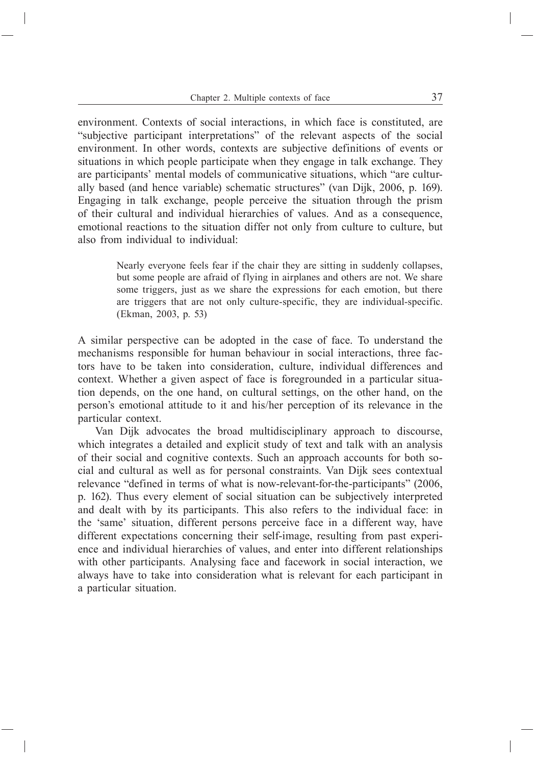environment. Contexts of social interactions, in which face is constituted, are "subjective participant interpretations" of the relevant aspects of the social environment. In other words, contexts are subjective definitions of events or situations in which people participate when they engage in talk exchange. They are participants' mental models of communicative situations, which "are culturally based (and hence variable) schematic structures" (van Dijk, 2006, p. 169). Engaging in talk exchange, people perceive the situation through the prism of their cultural and individual hierarchies of values. And as a consequence, emotional reactions to the situation differ not only from culture to culture, but also from individual to individual:

> Nearly everyone feels fear if the chair they are sitting in suddenly collapses, but some people are afraid of flying in airplanes and others are not. We share some triggers, just as we share the expressions for each emotion, but there are triggers that are not only culture-specific, they are individual-specific. (Ekman, 2003, p. 53)

A similar perspective can be adopted in the case of face. To understand the mechanisms responsible for human behaviour in social interactions, three factors have to be taken into consideration, culture, individual differences and context. Whether a given aspect of face is foregrounded in a particular situation depends, on the one hand, on cultural settings, on the other hand, on the person's emotional attitude to it and his/her perception of its relevance in the particular context.

Van Dijk advocates the broad multidisciplinary approach to discourse, which integrates a detailed and explicit study of text and talk with an analysis of their social and cognitive contexts. Such an approach accounts for both social and cultural as well as for personal constraints. Van Dijk sees contextual relevance "defined in terms of what is now-relevant-for-the-participants" (2006, p. 162). Thus every element of social situation can be subjectively interpreted and dealt with by its participants. This also refers to the individual face: in the 'same' situation, different persons perceive face in a different way, have different expectations concerning their self-image, resulting from past experience and individual hierarchies of values, and enter into different relationships with other participants. Analysing face and facework in social interaction, we always have to take into consideration what is relevant for each participant in a particular situation.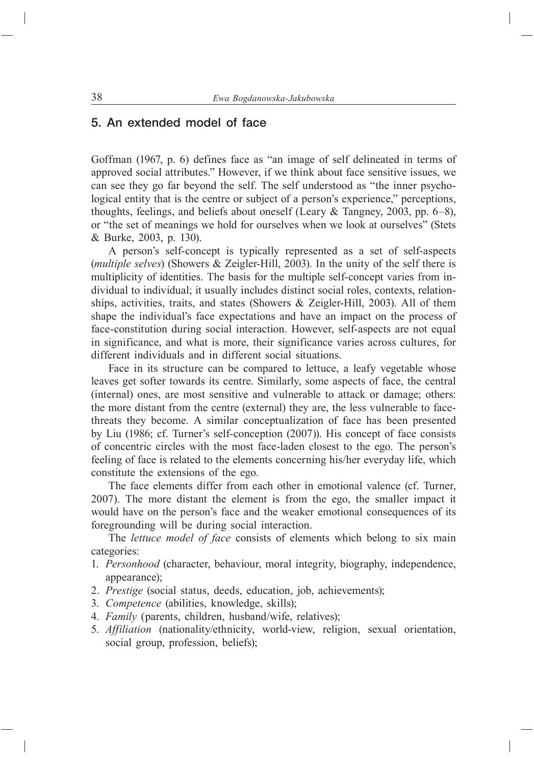## 5. An extended model of face

Goffman (1967, p. 6) defines face as "an image of self delineated in terms of approved social attributes." However, if we think about face sensitive issues, we can see they go far beyond the self. The self understood as "the inner psychological entity that is the centre or subject of a person's experience," perceptions, thoughts, feelings, and beliefs about oneself (Leary & Tangney, 2003, pp. 6–8), or "the set of meanings we hold for ourselves when we look at ourselves" (Stets & Burke, 2003, p. 130).

A person's self-concept is typically represented as a set of self-aspects (*multiple selves*) (Showers & Zeigler-Hill, 2003). In the unity of the self there is multiplicity of identities. The basis for the multiple self-concept varies from individual to individual; it usually includes distinct social roles, contexts, relationships, activities, traits, and states (Showers & Zeigler-Hill, 2003). All of them shape the individual's face expectations and have an impact on the process of face-constitution during social interaction. However, self-aspects are not equal in significance, and what is more, their significance varies across cultures, for different individuals and in different social situations.

Face in its structure can be compared to lettuce, a leafy vegetable whose leaves get softer towards its centre. Similarly, some aspects of face, the central (internal) ones, are most sensitive and vulnerable to attack or damage; others: the more distant from the centre (external) they are, the less vulnerable to facethreats they become. A similar conceptualization of face has been presented by Liu (1986; cf. Turner's self-conception (2007)). His concept of face consists of concentric circles with the most face-laden closest to the ego. The person's feeling of face is related to the elements concerning his/her everyday life, which constitute the extensions of the ego.

The face elements differ from each other in emotional valence (cf. Turner, 2007). The more distant the element is from the ego, the smaller impact it would have on the person's face and the weaker emotional consequences of its foregrounding will be during social interaction.

The *lettuce model of face* consists of elements which belong to six main categories:

- 1. *Personhood* (character, behaviour, moral integrity, biography, independence, appearance);
- 2. *Prestige* (social status, deeds, education, job, achievements);
- 3. *Competence* (abilities, knowledge, skills);
- 4. *Family* (parents, children, husband/wife, relatives);
- 5. *Affiliation* (nationality/ethnicity, world-view, religion, sexual orientation, social group, profession, beliefs);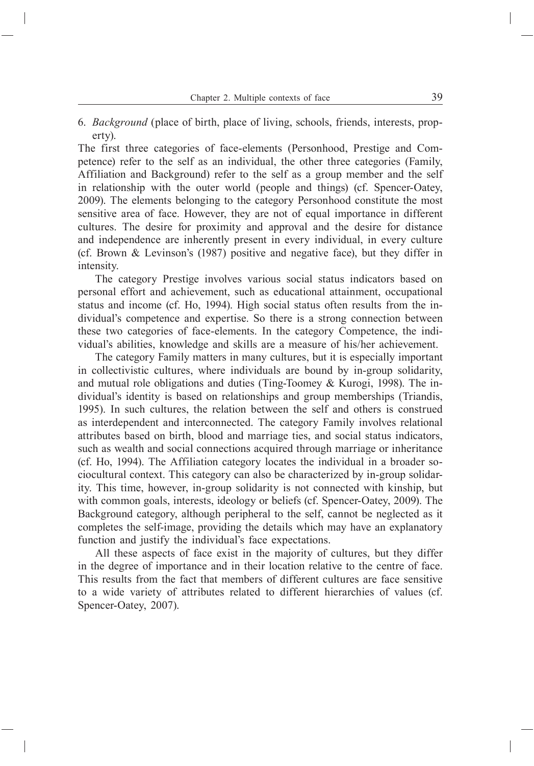6. *Background* (place of birth, place of living, schools, friends, interests, property).

The first three categories of face-elements (Personhood, Prestige and Competence) refer to the self as an individual, the other three categories (Family, Affiliation and Background) refer to the self as a group member and the self in relationship with the outer world (people and things) (cf. Spencer-Oatey, 2009). The elements belonging to the category Personhood constitute the most sensitive area of face. However, they are not of equal importance in different cultures. The desire for proximity and approval and the desire for distance and independence are inherently present in every individual, in every culture (cf. Brown & Levinson's (1987) positive and negative face), but they differ in intensity.

The category Prestige involves various social status indicators based on personal effort and achievement, such as educational attainment, occupational status and income (cf. Ho, 1994). High social status often results from the individual's competence and expertise. So there is a strong connection between these two categories of face-elements. In the category Competence, the individual's abilities, knowledge and skills are a measure of his/her achievement.

The category Family matters in many cultures, but it is especially important in collectivistic cultures, where individuals are bound by in-group solidarity, and mutual role obligations and duties (Ting-Toomey  $& Kurogi, 1998$ ). The individual's identity is based on relationships and group memberships (Triandis, 1995). In such cultures, the relation between the self and others is construed as interdependent and interconnected. The category Family involves relational attributes based on birth, blood and marriage ties, and social status indicators, such as wealth and social connections acquired through marriage or inheritance (cf. Ho, 1994). The Affiliation category locates the individual in a broader sociocultural context. This category can also be characterized by in-group solidarity. This time, however, in-group solidarity is not connected with kinship, but with common goals, interests, ideology or beliefs (cf. Spencer-Oatey, 2009). The Background category, although peripheral to the self, cannot be neglected as it completes the self-image, providing the details which may have an explanatory function and justify the individual's face expectations.

All these aspects of face exist in the majority of cultures, but they differ in the degree of importance and in their location relative to the centre of face. This results from the fact that members of different cultures are face sensitive to a wide variety of attributes related to different hierarchies of values (cf. Spencer-Oatey, 2007).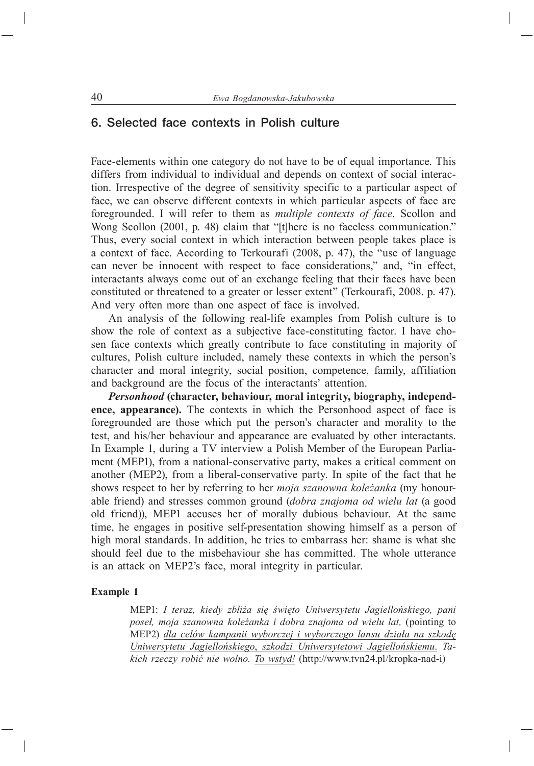## 6. Selected face contexts in Polish culture

Face-elements within one category do not have to be of equal importance. This differs from individual to individual and depends on context of social interaction. Irrespective of the degree of sensitivity specific to a particular aspect of face, we can observe different contexts in which particular aspects of face are foregrounded. I will refer to them as *multiple contexts of face*. Scollon and Wong Scollon (2001, p. 48) claim that "[t]here is no faceless communication." Thus, every social context in which interaction between people takes place is a context of face. According to Terkourafi (2008, p. 47), the "use of language can never be innocent with respect to face considerations," and, "in effect, interactants always come out of an exchange feeling that their faces have been constituted or threatened to a greater or lesser extent" (Terkourafi, 2008. p. 47). And very often more than one aspect of face is involved.

An analysis of the following real-life examples from Polish culture is to show the role of context as a subjective face-constituting factor. I have chosen face contexts which greatly contribute to face constituting in majority of cultures, Polish culture included, namely these contexts in which the person's character and moral integrity, social position, competence, family, affiliation and background are the focus of the interactants' attention.

*Personhood* **(character, behaviour, moral integrity, biography, independence, appearance).** The contexts in which the Personhood aspect of face is foregrounded are those which put the person's character and morality to the test, and his/her behaviour and appearance are evaluated by other interactants. In Example 1, during a TV interview a Polish Member of the European Parliament (MEP1), from a national-conservative party, makes a critical comment on another (MEP2), from a liberal-conservative party. In spite of the fact that he shows respect to her by referring to her *moja szanowna koleżanka* (my honourable friend) and stresses common ground (*dobra znajoma od wielu lat* (a good old friend)), MEP1 accuses her of morally dubious behaviour. At the same time, he engages in positive self-presentation showing himself as a person of high moral standards. In addition, he tries to embarrass her: shame is what she should feel due to the misbehaviour she has committed. The whole utterance is an attack on MEP2's face, moral integrity in particular.

#### **Example 1**

MEP1: *I teraz, kiedy zbliża się święto Uniwersytetu Jagiellońskiego, pani poseł, moja szanowna koleżanka i dobra znajoma od wielu lat,* (pointing to MEP2) *dla celów kampanii wyborczej i wyborczego lansu działa na szkodę Uniwersytetu Jagiellońskiego*, *szkodzi Uniwersytetowi Jagiellońskiemu*. *Takich rzeczy robić nie wolno. To wstyd!* (http://www.tvn24.pl/kropka-nad-i)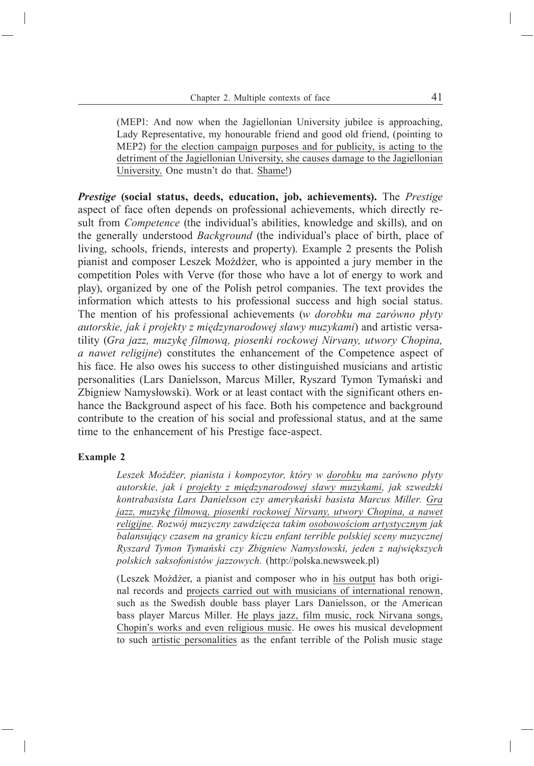(MEP1: And now when the Jagiellonian University jubilee is approaching, Lady Representative, my honourable friend and good old friend, (pointing to MEP2) for the election campaign purposes and for publicity, is acting to the detriment of the Jagiellonian University, she causes damage to the Jagiellonian University. One mustn't do that. Shame!)

*Prestige* **(social status, deeds, education, job, achievements).** The *Prestige*  aspect of face often depends on professional achievements, which directly result from *Competence* (the individual's abilities, knowledge and skills), and on the generally understood *Background* (the individual's place of birth, place of living, schools, friends, interests and property). Example 2 presents the Polish pianist and composer Leszek Możdżer, who is appointed a jury member in the competition Poles with Verve (for those who have a lot of energy to work and play), organized by one of the Polish petrol companies. The text provides the information which attests to his professional success and high social status. The mention of his professional achievements (*w dorobku ma zarówno płyty autorskie, jak i projekty z międzynarodowej sławy muzykami*) and artistic versatility (*Gra jazz, muzykę filmową, piosenki rockowej Nirvany, utwory Chopina, a nawet religijne*) constitutes the enhancement of the Competence aspect of his face. He also owes his success to other distinguished musicians and artistic personalities (Lars Danielsson, Marcus Miller, Ryszard Tymon Tymański and Zbigniew Namysłowski). Work or at least contact with the significant others enhance the Background aspect of his face. Both his competence and background contribute to the creation of his social and professional status, and at the same time to the enhancement of his Prestige face-aspect.

#### **Example 2**

*Leszek Możdżer, pianista i kompozytor, który w dorobku ma zarówno płyty autorskie, jak i projekty z międzynarodowej sławy muzykami, jak szwedzki kontrabasista Lars Danielsson czy amerykański basista Marcus Miller. Gra jazz, muzykę filmową, piosenki rockowej Nirvany, utwory Chopina, a nawet religijne. Rozwój muzyczny zawdzięcza takim osobowościom artystycznym jak balansujący czasem na granicy kiczu enfant terrible polskiej sceny muzycznej Ryszard Tymon Tymański czy Zbigniew Namysłowski, jeden z największych polskich saksofonistów jazzowych.* (http://polska.newsweek.pl)

(Leszek Możdżer, a pianist and composer who in his output has both original records and projects carried out with musicians of international renown, such as the Swedish double bass player Lars Danielsson, or the American bass player Marcus Miller.He plays jazz, film music, rock Nirvana songs, Chopin's works and even religious music. He owes his musical development to such artistic personalities as the enfant terrible of the Polish music stage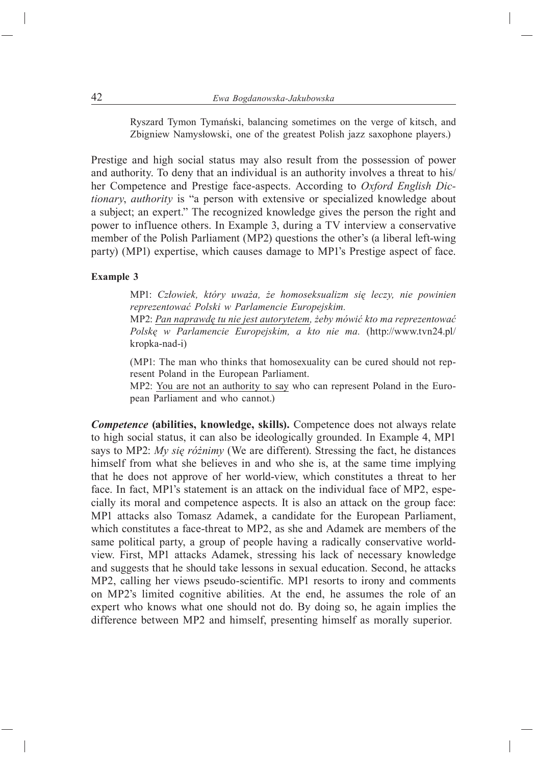Ryszard Tymon Tymański, balancing sometimes on the verge of kitsch, and Zbigniew Namysłowski, one of the greatest Polish jazz saxophone players.)

Prestige and high social status may also result from the possession of power and authority. To deny that an individual is an authority involves a threat to his/ her Competence and Prestige face-aspects. According to *Oxford English Dictionary*, *authority* is "a person with extensive or specialized knowledge about a subject; an expert." The recognized knowledge gives the person the right and power to influence others. In Example 3, during a TV interview a conservative member of the Polish Parliament (MP2) questions the other's (a liberal left-wing party) (MP1) expertise, which causes damage to MP1's Prestige aspect of face.

#### **Example 3**

MP1: *Człowiek, który uważa, że homoseksualizm się leczy, nie powinien reprezentować Polski w Parlamencie Europejskim.*

MP2: *Pan naprawdę tu nie jest autorytetem, żeby mówić kto ma reprezentować Polskę w Parlamencie Europejskim, a kto nie ma.* (http://www.tvn24.pl/ kropka-nad-i)

(MP1: The man who thinks that homosexuality can be cured should not represent Poland in the European Parliament.

MP2: You are not an authority to say who can represent Poland in the European Parliament and who cannot.)

*Competence* **(abilities, knowledge, skills).** Competence does not always relate to high social status, it can also be ideologically grounded. In Example 4, MP1 says to MP2: *My się różnimy* (We are different). Stressing the fact, he distances himself from what she believes in and who she is, at the same time implying that he does not approve of her world-view, which constitutes a threat to her face. In fact, MP1's statement is an attack on the individual face of MP2, especially its moral and competence aspects. It is also an attack on the group face: MP1 attacks also Tomasz Adamek, a candidate for the European Parliament, which constitutes a face-threat to MP2, as she and Adamek are members of the same political party, a group of people having a radically conservative worldview. First, MP1 attacks Adamek, stressing his lack of necessary knowledge and suggests that he should take lessons in sexual education. Second, he attacks MP2, calling her views pseudo-scientific. MP1 resorts to irony and comments on MP2's limited cognitive abilities. At the end, he assumes the role of an expert who knows what one should not do. By doing so, he again implies the difference between MP2 and himself, presenting himself as morally superior.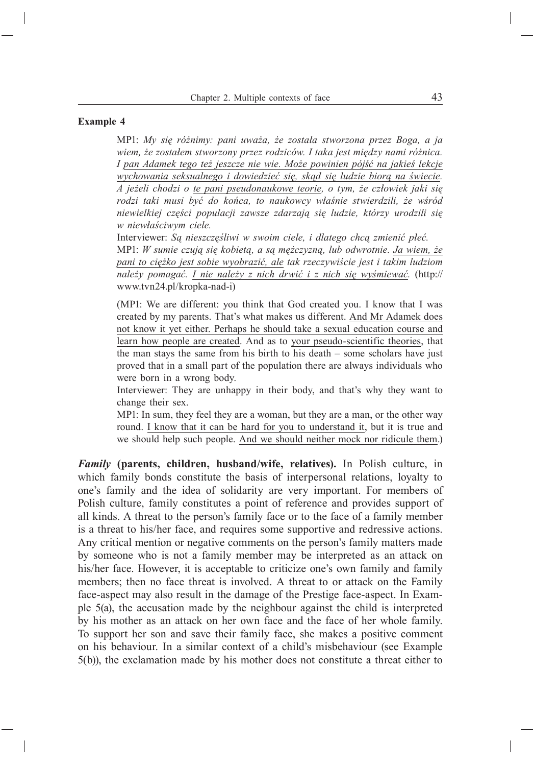#### **Example 4**

MP1: *My się różnimy: pani uważa, że została stworzona przez Boga, a ja wiem, że zostałem stworzony przez rodziców. I taka jest między nami różnica. I pan Adamek tego też jeszcze nie wie. Może powinien pójść na jakieś lekcje wychowania seksualnego i dowiedzieć się, skąd się ludzie biorą na świecie. A jeżeli chodzi o te pani pseudonaukowe teorie, o tym, że człowiek jaki się rodzi taki musi być do końca, to naukowcy właśnie stwierdzili, że wśród niewielkiej części populacji zawsze zdarzają się ludzie, którzy urodzili się w niewłaściwym ciele.*

Interviewer: *Są nieszczęśliwi w swoim ciele, i dlatego chcą zmienić płeć.* MP1: *W sumie czują się kobietą, a są mężczyzną, lub odwrotnie. Ja wiem, że pani to ciężko jest sobie wyobrazić, ale tak rzeczywiście jest i takim ludziom należy pomagać. I nie należy z nich drwić i z nich się wyśmiewać.* (http:// www.tvn24.pl/kropka-nad-i)

(MP1: We are different: you think that God created you. I know that I was created by my parents. That's what makes us different.And Mr Adamek does not know it yet either. Perhaps he should take a sexual education course and learn how people are created. And as to your pseudo-scientific theories, that the man stays the same from his birth to his death – some scholars have just proved that in a small part of the population there are always individuals who were born in a wrong body.

Interviewer: They are unhappy in their body, and that's why they want to change their sex.

MP1: In sum, they feel they are a woman, but they are a man, or the other way round.I know that it can be hard for you to understand it, but it is true and we should help such people.And we should neither mock nor ridicule them.)

*Family* **(parents, children, husband/wife, relatives).** In Polish culture, in which family bonds constitute the basis of interpersonal relations, loyalty to one's family and the idea of solidarity are very important. For members of Polish culture, family constitutes a point of reference and provides support of all kinds. A threat to the person's family face or to the face of a family member is a threat to his/her face, and requires some supportive and redressive actions. Any critical mention or negative comments on the person's family matters made by someone who is not a family member may be interpreted as an attack on his/her face. However, it is acceptable to criticize one's own family and family members; then no face threat is involved. A threat to or attack on the Family face-aspect may also result in the damage of the Prestige face-aspect. In Example 5(a), the accusation made by the neighbour against the child is interpreted by his mother as an attack on her own face and the face of her whole family. To support her son and save their family face, she makes a positive comment on his behaviour. In a similar context of a child's misbehaviour (see Example 5(b)), the exclamation made by his mother does not constitute a threat either to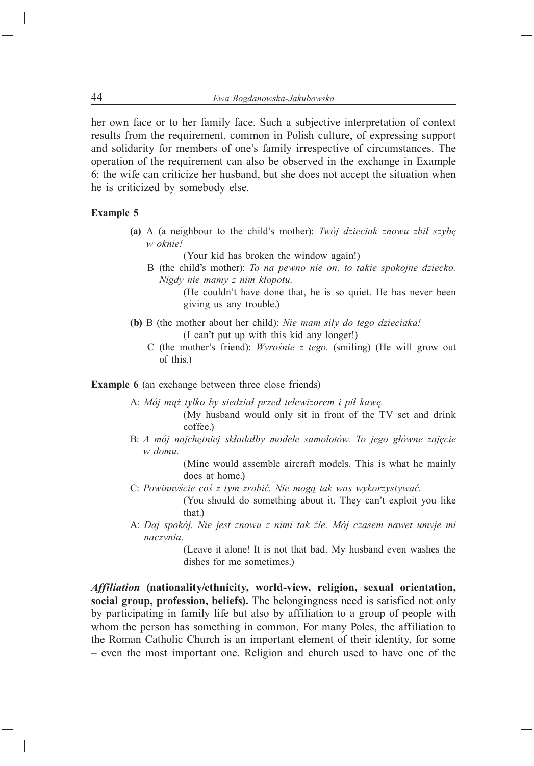her own face or to her family face. Such a subjective interpretation of context results from the requirement, common in Polish culture, of expressing support and solidarity for members of one's family irrespective of circumstances. The operation of the requirement can also be observed in the exchange in Example 6: the wife can criticize her husband, but she does not accept the situation when he is criticized by somebody else.

#### **Example 5**

**(a)** A (a neighbour to the child's mother): *Twój dzieciak znowu zbił szybę w oknie!*

(Your kid has broken the window again!)

- B (the child's mother): *To na pewno nie on, to takie spokojne dziecko. Nigdy nie mamy z nim kłopotu.*
	- (He couldn't have done that, he is so quiet. He has never been giving us any trouble.)
- **(b)** B (the mother about her child): *Nie mam siły do tego dzieciaka!* (I can't put up with this kid any longer!)
	- C (the mother's friend): *Wyrośnie z tego.* (smiling) (He will grow out of this.)

**Example 6** (an exchange between three close friends)

A: *Mój mąż tylko by siedział przed telewizorem i pił kawę.*

- (My husband would only sit in front of the TV set and drink coffee.)
- B: *A mój najchętniej składałby modele samolotów. To jego główne zajęcie w domu.*

(Mine would assemble aircraft models. This is what he mainly does at home.)

C: *Powinnyście coś z tym zrobić. Nie mogą tak was wykorzystywać.*

(You should do something about it. They can't exploit you like that.)

A: *Daj spokój. Nie jest znowu z nimi tak źle. Mój czasem nawet umyje mi naczynia.*

> (Leave it alone! It is not that bad. My husband even washes the dishes for me sometimes.)

*Affiliation* **(nationality/ethnicity, world-view, religion, sexual orientation, social group, profession, beliefs).** The belongingness need is satisfied not only by participating in family life but also by affiliation to a group of people with whom the person has something in common. For many Poles, the affiliation to the Roman Catholic Church is an important element of their identity, for some – even the most important one. Religion and church used to have one of the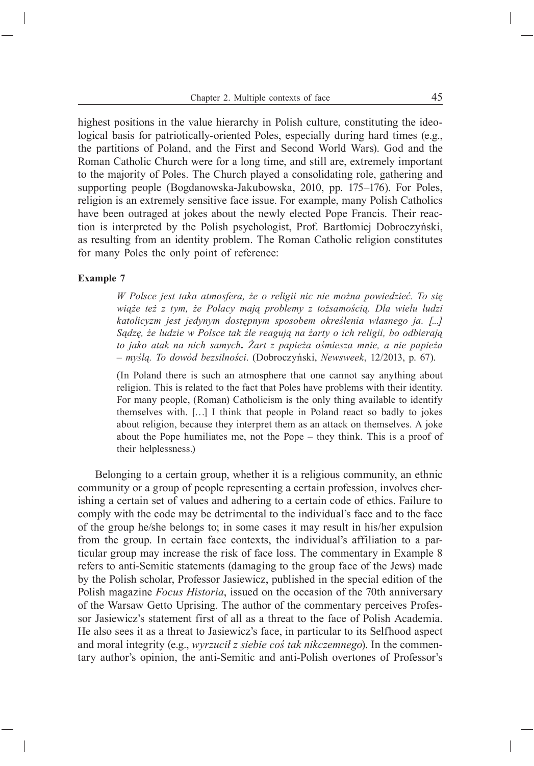highest positions in the value hierarchy in Polish culture, constituting the ideological basis for patriotically-oriented Poles, especially during hard times (e.g., the partitions of Poland, and the First and Second World Wars). God and the Roman Catholic Church were for a long time, and still are, extremely important to the majority of Poles. The Church played a consolidating role, gathering and supporting people (Bogdanowska-Jakubowska, 2010, pp. 175–176). For Poles, religion is an extremely sensitive face issue. For example, many Polish Catholics have been outraged at jokes about the newly elected Pope Francis. Their reaction is interpreted by the Polish psychologist, Prof. Bartłomiej Dobroczyński, as resulting from an identity problem. The Roman Catholic religion constitutes for many Poles the only point of reference:

#### **Example 7**

*W Polsce jest taka atmosfera, że o religii nic nie można powiedzieć. To się wiąże też z tym, że Polacy mają problemy z tożsamością. Dla wielu ludzi katolicyzm jest jedynym dostępnym sposobem określenia własnego ja. [...] Sądzę, że ludzie w Polsce tak źle reagują na żarty o ich religii, bo odbierają to jako atak na nich samych. Żart z papieża ośmiesza mnie, a nie papieża – myślą. To dowód bezsilności*. (Dobroczyński, *Newsweek*, 12/2013, p. 67).

(In Poland there is such an atmosphere that one cannot say anything about religion. This is related to the fact that Poles have problems with their identity. For many people, (Roman) Catholicism is the only thing available to identify themselves with. […] I think that people in Poland react so badly to jokes about religion, because they interpret them as an attack on themselves. A joke about the Pope humiliates me, not the Pope – they think. This is a proof of their helplessness.)

Belonging to a certain group, whether it is a religious community, an ethnic community or a group of people representing a certain profession, involves cherishing a certain set of values and adhering to a certain code of ethics. Failure to comply with the code may be detrimental to the individual's face and to the face of the group he/she belongs to; in some cases it may result in his/her expulsion from the group. In certain face contexts, the individual's affiliation to a particular group may increase the risk of face loss. The commentary in Example 8 refers to anti-Semitic statements (damaging to the group face of the Jews) made by the Polish scholar, Professor Jasiewicz, published in the special edition of the Polish magazine *Focus Historia*, issued on the occasion of the 70th anniversary of the Warsaw Getto Uprising. The author of the commentary perceives Professor Jasiewicz's statement first of all as a threat to the face of Polish Academia. He also sees it as a threat to Jasiewicz's face, in particular to its Selfhood aspect and moral integrity (e.g., *wyrzucił z siebie coś tak nikczemnego*). In the commentary author's opinion, the anti-Semitic and anti-Polish overtones of Professor's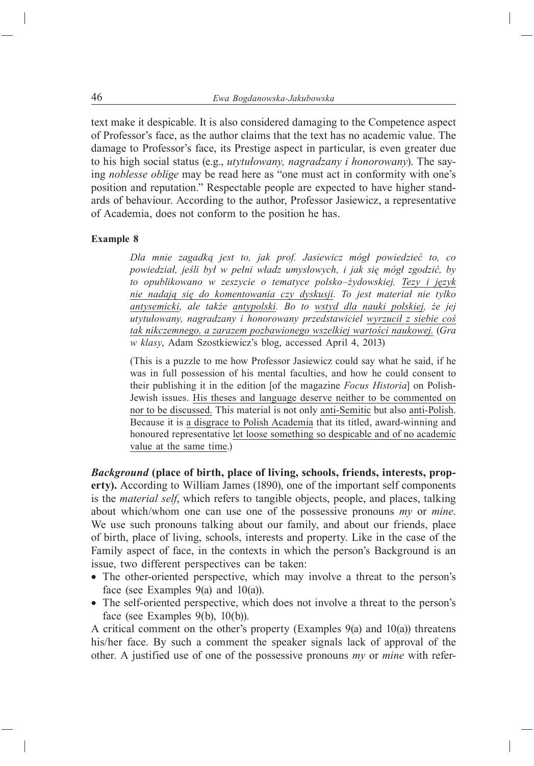text make it despicable. It is also considered damaging to the Competence aspect of Professor's face, as the author claims that the text has no academic value. The damage to Professor's face, its Prestige aspect in particular, is even greater due to his high social status (e.g., *utytułowany, nagradzany i honorowany*). The saying *noblesse oblige* may be read here as "one must act in conformity with one's position and reputation." Respectable people are expected to have higher standards of behaviour. According to the author, Professor Jasiewicz, a representative of Academia, does not conform to the position he has.

#### **Example 8**

*Dla mnie zagadką jest to, jak prof. Jasiewicz mógł powiedzieć to, co powiedział, jeśli był w pełni władz umysłowych, i jak się mógł zgodzić, by to opublikowano w zeszycie o tematyce polsko–żydowskiej. Tezy i język nie nadają się do komentowania czy dyskusji. To jest materiał nie tylko antysemicki, ale także antypolski. Bo to wstyd dla nauki polskiej, że jej utytułowany, nagradzany i honorowany przedstawiciel wyrzucił z siebie coś tak nikczemnego, a zarazem pozbawionego wszelkiej wartości naukowej.* (*Gra w klasy*, Adam Szostkiewicz's blog, accessed April 4, 2013)

(This is a puzzle to me how Professor Jasiewicz could say what he said, if he was in full possession of his mental faculties, and how he could consent to their publishing it in the edition [of the magazine *Focus Historia*] on Polish-Jewish issues.His theses and language deserve neither to be commented on nor to be discussed. This material is not only anti-Semitic but also anti-Polish. Because it is a disgrace to Polish Academia that its titled, award-winning and honoured representative let loose something so despicable and of no academic value at the same time.)

*Background* **(place of birth, place of living, schools, friends, interests, property).** According to William James (1890), one of the important self components is the *material self*, which refers to tangible objects, people, and places, talking about which/whom one can use one of the possessive pronouns *my* or *mine*. We use such pronouns talking about our family, and about our friends, place of birth, place of living, schools, interests and property. Like in the case of the Family aspect of face, in the contexts in which the person's Background is an issue, two different perspectives can be taken:

- The other-oriented perspective, which may involve a threat to the person's face (see Examples  $9(a)$  and  $10(a)$ ).
- The self-oriented perspective, which does not involve a threat to the person's face (see Examples 9(b), 10(b)).

A critical comment on the other's property (Examples 9(a) and 10(a)) threatens his/her face. By such a comment the speaker signals lack of approval of the other. A justified use of one of the possessive pronouns *my* or *mine* with refer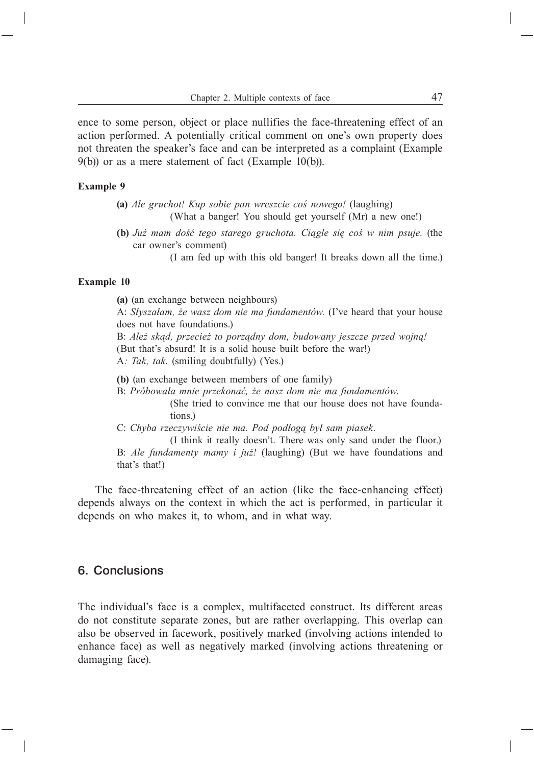ence to some person, object or place nullifies the face-threatening effect of an action performed. A potentially critical comment on one's own property does not threaten the speaker's face and can be interpreted as a complaint (Example 9(b)) or as a mere statement of fact (Example 10(b)).

#### **Example 9**

- **(a)** *Ale gruchot! Kup sobie pan wreszcie coś nowego!* (laughing) (What a banger! You should get yourself (Mr) a new one!)
- **(b)** *Już mam dość tego starego gruchota. Ciągle się coś w nim psuje.* (the car owner's comment)

(I am fed up with this old banger! It breaks down all the time.)

#### **Example 10**

**(a)** (an exchange between neighbours) A: *Słyszałam, że wasz dom nie ma fundamentów.* (I've heard that your house does not have foundations.) B: *Ależ skąd, przecież to porządny dom, budowany jeszcze przed wojną!* (But that's absurd! It is a solid house built before the war!)

A*: Tak, tak.* (smiling doubtfully) (Yes.)

**(b)** (an exchange between members of one family)

B: *Próbowała mnie przekonać, że nasz dom nie ma fundamentów*.

(She tried to convince me that our house does not have foundations.)

C: *Chyba rzeczywiście nie ma. Pod podłogą był sam piasek*.

(I think it really doesn't. There was only sand under the floor.) B: *Ale fundamenty mamy i już!* (laughing) (But we have foundations and that's that!)

The face-threatening effect of an action (like the face-enhancing effect) depends always on the context in which the act is performed, in particular it depends on who makes it, to whom, and in what way.

## 6. Conclusions

The individual's face is a complex, multifaceted construct. Its different areas do not constitute separate zones, but are rather overlapping. This overlap can also be observed in facework, positively marked (involving actions intended to enhance face) as well as negatively marked (involving actions threatening or damaging face).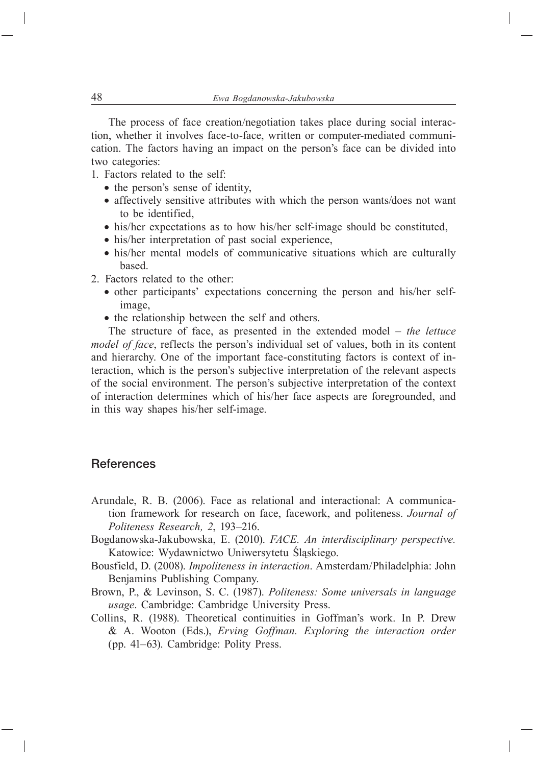The process of face creation/negotiation takes place during social interaction, whether it involves face-to-face, written or computer-mediated communication. The factors having an impact on the person's face can be divided into two categories:

- 1. Factors related to the self:
	- the person's sense of identity,
	- affectively sensitive attributes with which the person wants/does not want to be identified,
	- his/her expectations as to how his/her self-image should be constituted,
	- his/her interpretation of past social experience,
	- his/her mental models of communicative situations which are culturally based.
- 2. Factors related to the other:
	- other participants' expectations concerning the person and his/her selfimage,
	- the relationship between the self and others.

The structure of face, as presented in the extended model – *the lettuce model of face*, reflects the person's individual set of values, both in its content and hierarchy. One of the important face-constituting factors is context of interaction, which is the person's subjective interpretation of the relevant aspects of the social environment. The person's subjective interpretation of the context of interaction determines which of his/her face aspects are foregrounded, and in this way shapes his/her self-image.

## **References**

- Arundale, R. B. (2006). Face as relational and interactional: A communication framework for research on face, facework, and politeness.*Journal of Politeness Research, 2*, 193–216.
- Bogdanowska-Jakubowska, E. (2010).*FACE. An interdisciplinary perspective.*  Katowice: Wydawnictwo Uniwersytetu Śląskiego.
- Bousfield, D. (2008).*Impoliteness in interaction*. Amsterdam/Philadelphia: John Benjamins Publishing Company.
- Brown, P., & Levinson, S. C. (1987).*Politeness: Some universals in language usage*. Cambridge: Cambridge University Press.
- Collins, R. (1988). Theoretical continuities in Goffman's work. In P. Drew & A. Wooton (Eds.), *Erving Goffman. Exploring the interaction order* (pp. 41–63).Cambridge: Polity Press.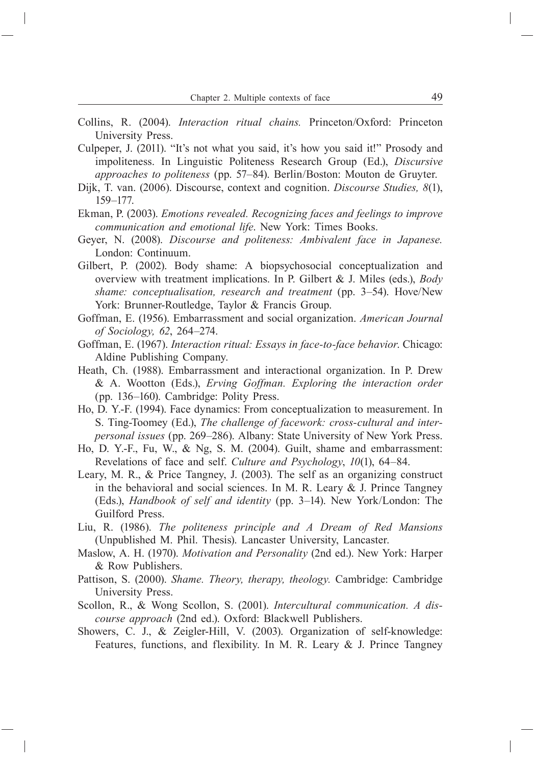- Collins, R. (2004).*Interaction ritual chains.* Princeton/Oxford: Princeton University Press.
- Culpeper, J. (2011). "It's not what you said, it's how you said it!" Prosody and impoliteness. In Linguistic Politeness Research Group (Ed.), *Discursive approaches to politeness* (pp. 57–84). Berlin/Boston: Mouton de Gruyter.
- Dijk, T. van. (2006). Discourse, context and cognition.*Discourse Studies, 8*(1), 159–177.
- Ekman, P. (2003).*Emotions revealed. Recognizing faces and feelings to improve communication and emotional life*. New York: Times Books.
- Geyer, N. (2008).*Discourse and politeness: Ambivalent face in Japanese.*  London: Continuum.
- Gilbert, P. (2002). Body shame: A biopsychosocial conceptualization and overview with treatment implications. In P. Gilbert & J. Miles (eds.), *Body*  shame: conceptualisation, research and treatment (pp. 3–54). Hove/New York: Brunner-Routledge, Taylor & Francis Group.
- Goffman, E. (1956). Embarrassment and social organization.*American Journal of Sociology, 62*, 264–274.
- Goffman, E. (1967).*Interaction ritual: Essays in face-to-face behavior*. Chicago: Aldine Publishing Company.
- Heath, Ch. (1988). Embarrassment and interactional organization. In P. Drew & A. Wootton (Eds.), *Erving Goffman. Exploring the interaction order* (pp. 136–160). Cambridge: Polity Press.
- Ho, D. Y.-F. (1994). Face dynamics: From conceptualization to measurement. In S. Ting-Toomey (Ed.), *The challenge of facework: cross-cultural and interpersonal issues* (pp. 269–286).Albany: State University of New York Press.
- Ho, D. Y.-F., Fu, W., & Ng, S. M. (2004). Guilt, shame and embarrassment: Revelations of face and self.*Culture and Psychology*, *10*(1), 64–84.
- Leary, M. R., & Price Tangney, J. (2003). The self as an organizing construct in the behavioral and social sciences. In M. R. Leary  $&$  J. Prince Tangney (Eds.), *Handbook of self and identity* (pp. 3–14). New York/London: The Guilford Press.
- Liu, R. (1986).*The politeness principle and A Dream of Red Mansions*  (Unpublished M. Phil. Thesis). Lancaster University, Lancaster.
- Maslow, A. H. (1970).*Motivation and Personality* (2nd ed.). New York: Harper & Row Publishers.
- Pattison, S. (2000).*Shame. Theory, therapy, theology.* Cambridge: Cambridge University Press.
- Scollon, R., & Wong Scollon, S. (2001).*Intercultural communication. A discourse approach* (2nd ed.). Oxford: Blackwell Publishers.
- Showers, C. J., & Zeigler-Hill, V. (2003). Organization of self-knowledge: Features, functions, and flexibility. In M. R. Leary & J. Prince Tangney